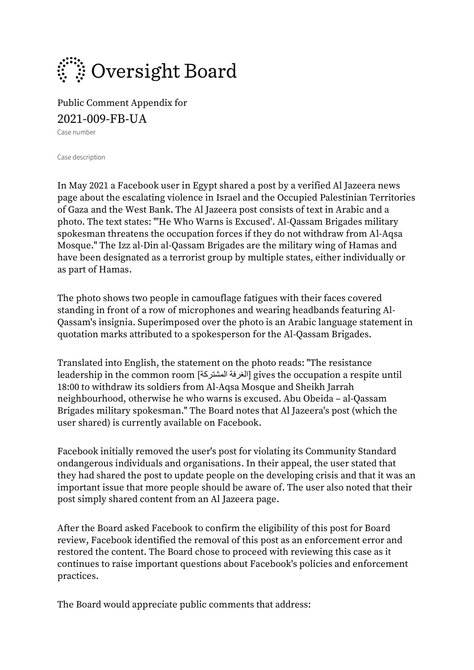

Public Comment Appendix for 2021-009-FB-UA

Case number

Case description

In May 2021 a Facebook user in Egypt shared a post by a verified Al Jazeera news page about the escalating violence in Israel and the Occupied Palestinian Territories of Gaza and the West Bank. The Al Jazeera post consists of text in Arabic and a photo. The text states: "'He Who Warns is Excused'. Al-Qassam Brigades military spokesman threatens the occupation forces if they do not withdraw from Al-Aqsa Mosque." The Izz al-Din al-Qassam Brigades are the military wing of Hamas and have been designated as a terrorist group by multiple states, either individually or as part of Hamas.

The photo shows two people in camouflage fatigues with their faces covered standing in front of a row of microphones and wearing headbands featuring Al-Qassam's insignia. Superimposed over the photo is an Arabic language statement in quotation marks attributed to a spokesperson for the Al-Qassam Brigades.

Translated into English, the statement on the photo reads: "The resistance leadership in the common room [ المشتركة الغرفة [gives the occupation a respite until 18:00 to withdraw its soldiers from Al-Aqsa Mosque and Sheikh Jarrah neighbourhood, otherwise he who warns is excused. Abu Obeida – al-Qassam Brigades military spokesman." The Board notes that Al Jazeera's post (which the user shared) is currently available on Facebook.

Facebook initially removed the user's post for violating its Community Standard o[ndangerous individuals and organisations.](https://www.facebook.com/communitystandards/dangerous_individuals_organizations) In their appeal, the user stated that they had shared the post to update people on the developing crisis and that it was an important issue that more people should be aware of. The user also noted that their post simply shared content from an Al Jazeera page.

After the Board asked Facebook to confirm the eligibility of this post for Board review, Facebook identified the removal of this post as an enforcement error and restored the content. The Board chose to proceed with reviewing this case as it continues to raise important questions about Facebook's policies and enforcement practices.

The Board would appreciate public comments that address: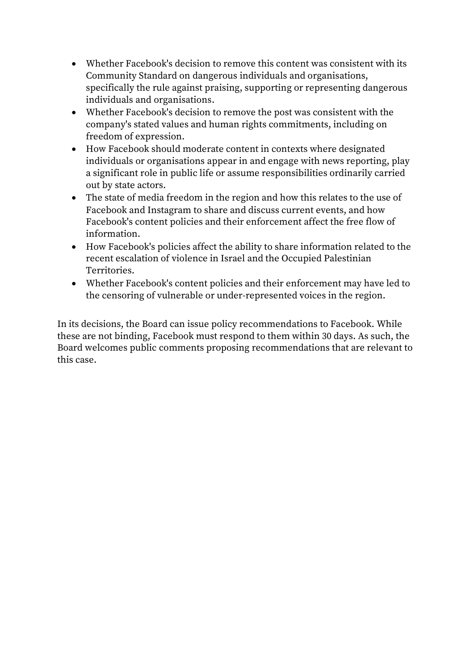- Whether Facebook's decision to remove this content was consistent with its Community Standard on dangerous individuals and organisations, specifically the rule against praising, supporting or representing dangerous individuals and organisations.
- Whether Facebook's decision to remove the post was consistent with the company's stated values and human rights commitments, including on freedom of expression.
- How Facebook should moderate content in contexts where designated individuals or organisations appear in and engage with news reporting, play a significant role in public life or assume responsibilities ordinarily carried out by state actors.
- The state of media freedom in the region and how this relates to the use of Facebook and Instagram to share and discuss current events, and how Facebook's content policies and their enforcement affect the free flow of information.
- How Facebook's policies affect the ability to share information related to the recent escalation of violence in Israel and the Occupied Palestinian Territories.
- Whether Facebook's content policies and their enforcement may have led to the censoring of vulnerable or under-represented voices in the region.

In its decisions, the Board can issue policy recommendations to Facebook. While these are not binding, Facebook must respond to them within 30 days. As such, the Board welcomes public comments proposing recommendations that are relevant to this case.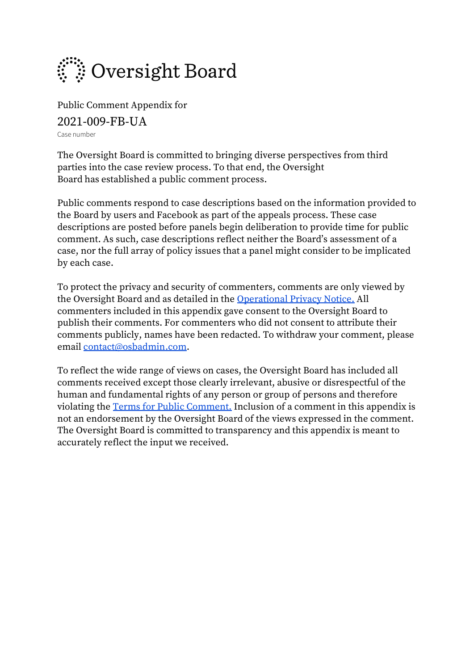

Public Comment Appendix for 2021-009-FB-UA Case number

The Oversight Board is committed to bringing diverse perspectives from third parties into the case review process. To that end, the Oversight Board has established a public comment process.

Public comments respond to case descriptions based on the information provided to the Board by users and Facebook as part of the appeals process. These case descriptions are posted before panels begin deliberation to provide time for public comment. As such, case descriptions reflect neither the Board's assessment of a case, nor the full array of policy issues that a panel might consider to be implicated by each case.

To protect the privacy and security of commenters, comments are only viewed by the Oversight Board and as detailed in the [Operational Privacy Notice.](https://oversightboard.com/sr/obprivacynotice) All commenters included in this appendix gave consent to the Oversight Board to publish their comments. For commenters who did not consent to attribute their comments publicly, names have been redacted. To withdraw your comment, please email [contact@osbadmin.com.](mailto:contact@osbadmin.com?subject=Public%20Comment%20Form)

To reflect the wide range of views on cases, the Oversight Board has included all comments received except those clearly irrelevant, abusive or disrespectful of the human and fundamental rights of any person or group of persons and therefore violating the [Terms for Public Comment.](https://osbcontent.s3-eu-west-1.amazonaws.com/Public+Comment+Terms+OSB.pdf) Inclusion of a comment in this appendix is not an endorsement by the Oversight Board of the views expressed in the comment. The Oversight Board is committed to transparency and this appendix is meant to accurately reflect the input we received.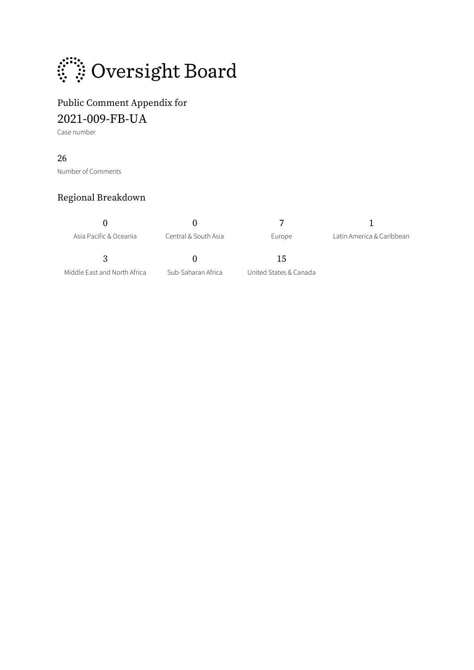

# Public Comment Appendix for

2021-009-FB-UA

Case number

### 26

Number of Comments

### Regional Breakdown

 $0$  0 7 1

Asia Pacific & Oceania Central & South Asia **Europe** Latin America & Caribbean

3 0 15

Middle East and North Africa Sub-Saharan Africa United States & Canada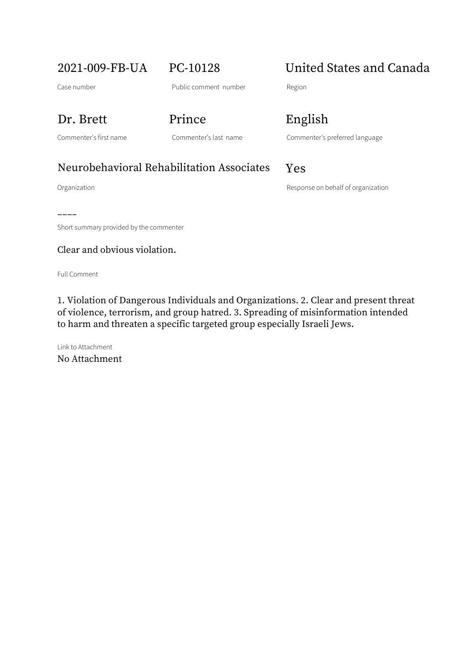# 2021-009-FB-UA PC-10128 United States and Canada

### Dr. Brett Prince English

Commenter's first name Commenter's last name Commenter's preferred language

## Neurobehavioral Rehabilitation Associates Yes

Organization Response on behalf of organization

––––

Short summary provided by the commenter

### Clear and obvious violation.

Full Comment

1. Violation of Dangerous Individuals and Organizations. 2. Clear and present threat of violence, terrorism, and group hatred. 3. Spreading of misinformation intended to harm and threaten a specific targeted group especially Israeli Jews.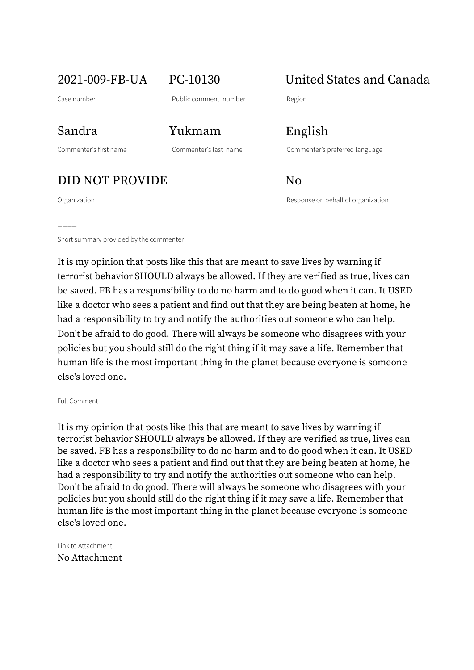2021-009-FB-UA PC-10130 United States and Canada

––––

Commenter's first name Commenter's last name Commenter's preferred language

DID NOT PROVIDE No

Organization Response on behalf of organization

Short summary provided by the commenter

It is my opinion that posts like this that are meant to save lives by warning if terrorist behavior SHOULD always be allowed. If they are verified as true, lives can be saved. FB has a responsibility to do no harm and to do good when it can. It USED like a doctor who sees a patient and find out that they are being beaten at home, he had a responsibility to try and notify the authorities out someone who can help. Don't be afraid to do good. There will always be someone who disagrees with your policies but you should still do the right thing if it may save a life. Remember that human life is the most important thing in the planet because everyone is someone else's loved one.

Full Comment

It is my opinion that posts like this that are meant to save lives by warning if terrorist behavior SHOULD always be allowed. If they are verified as true, lives can be saved. FB has a responsibility to do no harm and to do good when it can. It USED like a doctor who sees a patient and find out that they are being beaten at home, he had a responsibility to try and notify the authorities out someone who can help. Don't be afraid to do good. There will always be someone who disagrees with your policies but you should still do the right thing if it may save a life. Remember that human life is the most important thing in the planet because everyone is someone else's loved one.

Link to Attachment No Attachment

Sandra Yukmam English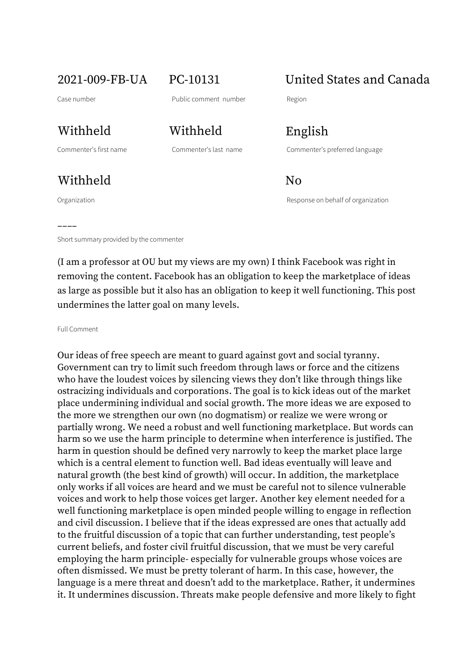Commenter's first name Commenter's last name Commenter's preferred language

Withheld No

––––

Withheld Withheld English

2021-009-FB-UA PC-10131 United States and Canada

Organization Response on behalf of organization

Short summary provided by the commenter

(I am a professor at OU but my views are my own) I think Facebook was right in removing the content. Facebook has an obligation to keep the marketplace of ideas as large as possible but it also has an obligation to keep it well functioning. This post undermines the latter goal on many levels.

Full Comment

Our ideas of free speech are meant to guard against govt and social tyranny. Government can try to limit such freedom through laws or force and the citizens who have the loudest voices by silencing views they don't like through things like ostracizing individuals and corporations. The goal is to kick ideas out of the market place undermining individual and social growth. The more ideas we are exposed to the more we strengthen our own (no dogmatism) or realize we were wrong or partially wrong. We need a robust and well functioning marketplace. But words can harm so we use the harm principle to determine when interference is justified. The harm in question should be defined very narrowly to keep the market place large which is a central element to function well. Bad ideas eventually will leave and natural growth (the best kind of growth) will occur. In addition, the marketplace only works if all voices are heard and we must be careful not to silence vulnerable voices and work to help those voices get larger. Another key element needed for a well functioning marketplace is open minded people willing to engage in reflection and civil discussion. I believe that if the ideas expressed are ones that actually add to the fruitful discussion of a topic that can further understanding, test people's current beliefs, and foster civil fruitful discussion, that we must be very careful employing the harm principle- especially for vulnerable groups whose voices are often dismissed. We must be pretty tolerant of harm. In this case, however, the language is a mere threat and doesn't add to the marketplace. Rather, it undermines it. It undermines discussion. Threats make people defensive and more likely to fight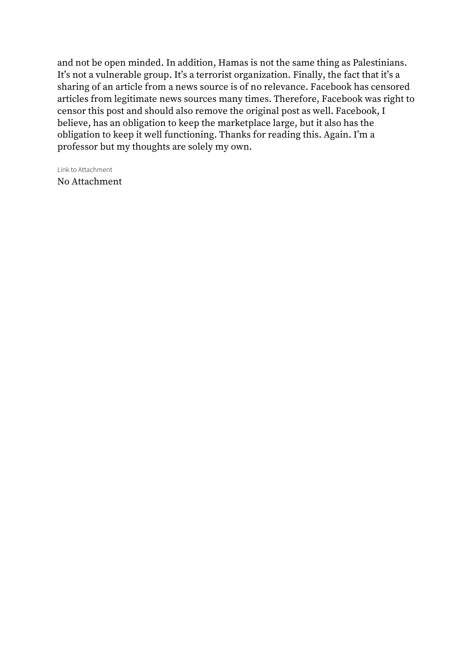and not be open minded. In addition, Hamas is not the same thing as Palestinians. It's not a vulnerable group. It's a terrorist organization. Finally, the fact that it's a sharing of an article from a news source is of no relevance. Facebook has censored articles from legitimate news sources many times. Therefore, Facebook was right to censor this post and should also remove the original post as well. Facebook, I believe, has an obligation to keep the marketplace large, but it also has the obligation to keep it well functioning. Thanks for reading this. Again. I'm a professor but my thoughts are solely my own.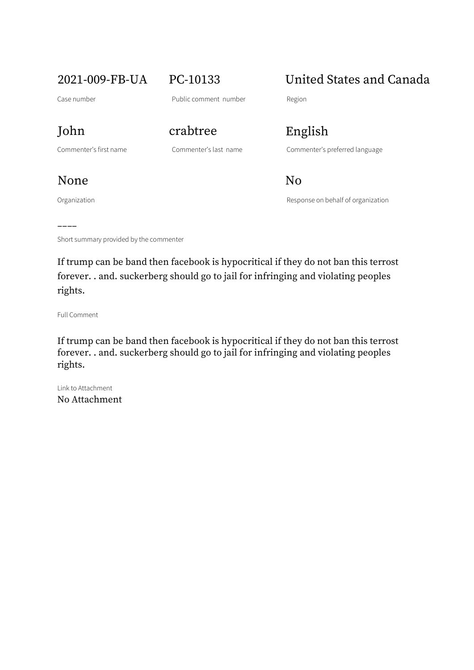Case number **Public comment number** Region

2021-009-FB-UA PC-10133 United States and Canada

John crabtree English

Commenter's first name Commenter's last name Commenter's preferred language

Organization **Community** Construction Response on behalf of organization None No

–––– Short summary provided by the commenter

If trump can be band then facebook is hypocritical if they do not ban this terrost forever. . and. suckerberg should go to jail for infringing and violating peoples rights.

Full Comment

If trump can be band then facebook is hypocritical if they do not ban this terrost forever. . and. suckerberg should go to jail for infringing and violating peoples rights.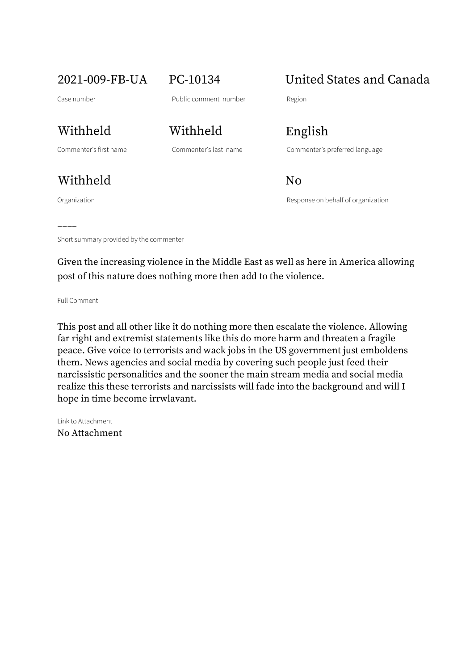# 2021-009-FB-UA PC-10134 United States and Canada

Withheld Withheld English

Withheld No

––––

Commenter's first name Commenter's last name Commenter's preferred language

Organization Response on behalf of organization

Short summary provided by the commenter

Given the increasing violence in the Middle East as well as here in America allowing post of this nature does nothing more then add to the violence.

Full Comment

This post and all other like it do nothing more then escalate the violence. Allowing far right and extremist statements like this do more harm and threaten a fragile peace. Give voice to terrorists and wack jobs in the US government just emboldens them. News agencies and social media by covering such people just feed their narcissistic personalities and the sooner the main stream media and social media realize this these terrorists and narcissists will fade into the background and will I hope in time become irrwlavant.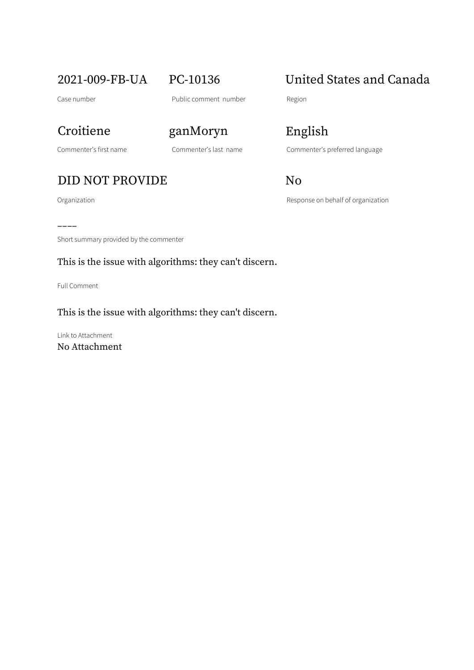## DID NOT PROVIDE No

Commenter's first name Commenter's last name Commenter's preferred language

Organization **Contracts** Construction Response on behalf of organization

### –––– Short summary provided by the commenter

This is the issue with algorithms: they can't discern.

Full Comment

### This is the issue with algorithms: they can't discern.

Link to Attachment No Attachment

Croitiene ganMoryn English

# 2021-009-FB-UA PC-10136 United States and Canada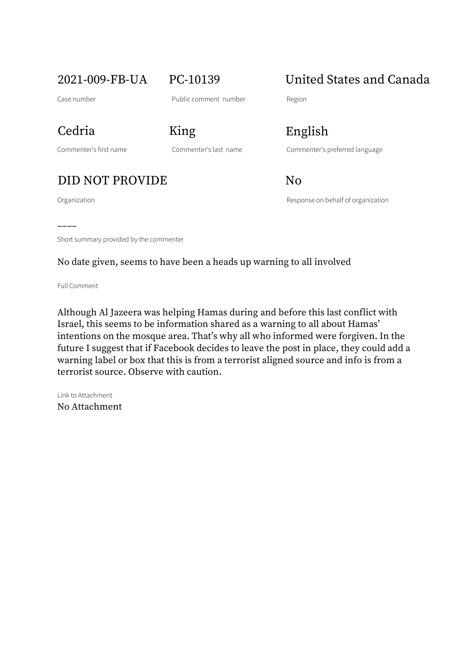# Cedria King English

## DID NOT PROVIDE No

––––

2021-009-FB-UA PC-10139 United States and Canada

Commenter's first name Commenter's last name Commenter's preferred language

Organization Response on behalf of organization

Short summary provided by the commenter

No date given, seems to have been a heads up warning to all involved

Full Comment

Although Al Jazeera was helping Hamas during and before this last conflict with Israel, this seems to be information shared as a warning to all about Hamas' intentions on the mosque area. That's why all who informed were forgiven. In the future I suggest that if Facebook decides to leave the post in place, they could add a warning label or box that this is from a terrorist aligned source and info is from a terrorist source. Observe with caution.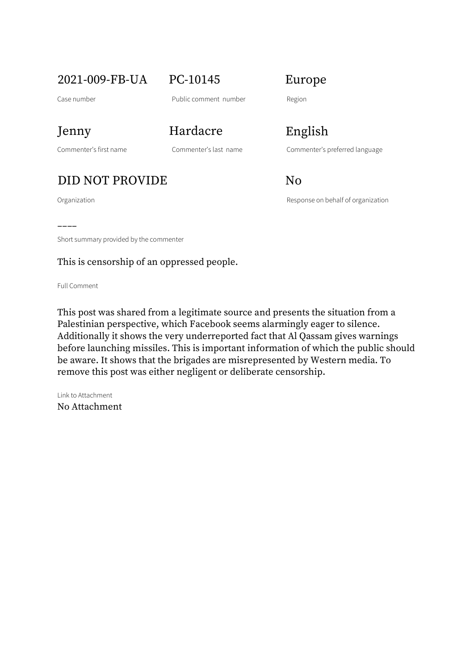2021-009-FB-UA PC-10145 Europe

Case number **Case number** Public comment number Region

## Jenny Hardacre English

## DID NOT PROVIDE No

––––

Commenter's first name Commenter's last name Commenter's preferred language

Organization and Communication Response on behalf of organization

Short summary provided by the commenter

### This is censorship of an oppressed people.

Full Comment

This post was shared from a legitimate source and presents the situation from a Palestinian perspective, which Facebook seems alarmingly eager to silence. Additionally it shows the very underreported fact that Al Qassam gives warnings before launching missiles. This is important information of which the public should be aware. It shows that the brigades are misrepresented by Western media. To remove this post was either negligent or deliberate censorship.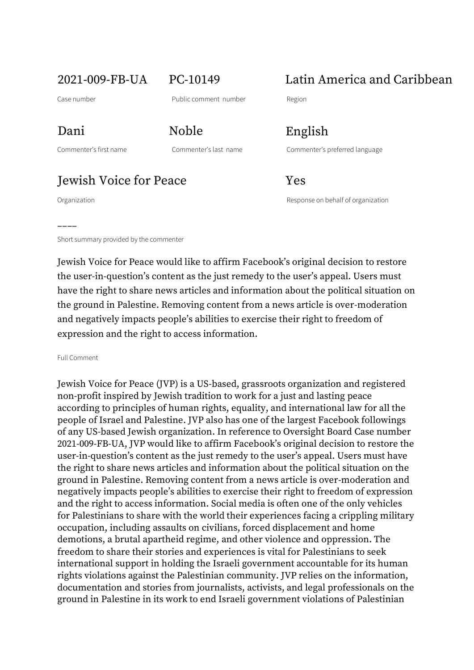2021-009-FB-UA PC-10149 Latin America and Caribbean

––––

Dani Noble English

Commenter's first name Commenter's last name Commenter's preferred language

**Jewish Voice for Peace** Yes

Organization Response on behalf of organization

Short summary provided by the commenter

Jewish Voice for Peace would like to affirm Facebook's original decision to restore the user-in-question's content as the just remedy to the user's appeal. Users must have the right to share news articles and information about the political situation on the ground in Palestine. Removing content from a news article is over-moderation and negatively impacts people's abilities to exercise their right to freedom of expression and the right to access information.

Full Comment

Jewish Voice for Peace (JVP) is a US-based, grassroots organization and registered non-profit inspired by Jewish tradition to work for a just and lasting peace according to principles of human rights, equality, and international law for all the people of Israel and Palestine. JVP also has one of the largest Facebook followings of any US-based Jewish organization. In reference to Oversight Board Case number 2021-009-FB-UA, JVP would like to affirm Facebook's original decision to restore the user-in-question's content as the just remedy to the user's appeal. Users must have the right to share news articles and information about the political situation on the ground in Palestine. Removing content from a news article is over-moderation and negatively impacts people's abilities to exercise their right to freedom of expression and the right to access information. Social media is often one of the only vehicles for Palestinians to share with the world their experiences facing a crippling military occupation, including assaults on civilians, forced displacement and home demotions, a brutal apartheid regime, and other violence and oppression. The freedom to share their stories and experiences is vital for Palestinians to seek international support in holding the Israeli government accountable for its human rights violations against the Palestinian community. JVP relies on the information, documentation and stories from journalists, activists, and legal professionals on the ground in Palestine in its work to end Israeli government violations of Palestinian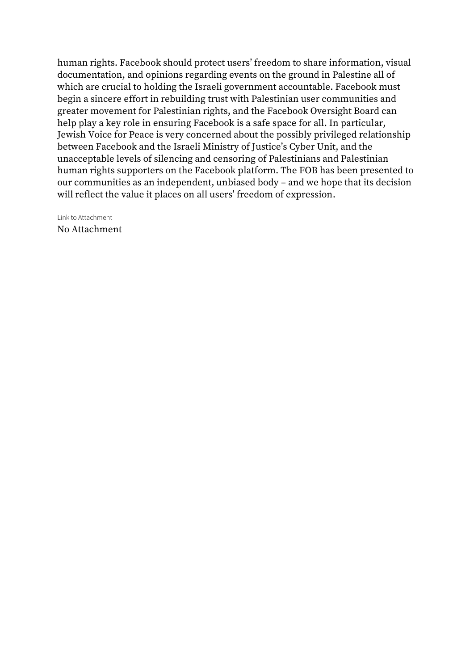human rights. Facebook should protect users' freedom to share information, visual documentation, and opinions regarding events on the ground in Palestine all of which are crucial to holding the Israeli government accountable. Facebook must begin a sincere effort in rebuilding trust with Palestinian user communities and greater movement for Palestinian rights, and the Facebook Oversight Board can help play a key role in ensuring Facebook is a safe space for all. In particular, Jewish Voice for Peace is very concerned about the possibly privileged relationship between Facebook and the Israeli Ministry of Justice's Cyber Unit, and the unacceptable levels of silencing and censoring of Palestinians and Palestinian human rights supporters on the Facebook platform. The FOB has been presented to our communities as an independent, unbiased body – and we hope that its decision will reflect the value it places on all users' freedom of expression.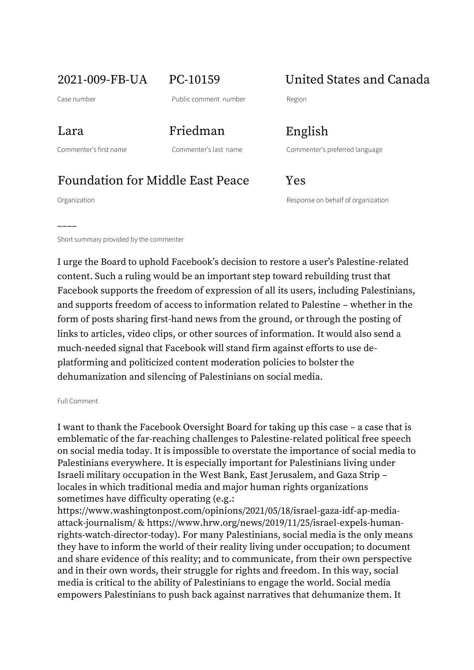2021-009-FB-UA PC-10159 United States and Canada

Case number **Case number** Public comment number Region

Commenter's first name Commenter's last name Commenter's preferred language

Lara Friedman English

## Foundation for Middle East Peace Yes

––––

Organization Response on behalf of organization

Short summary provided by the commenter

I urge the Board to uphold Facebook's decision to restore a user's Palestine-related content. Such a ruling would be an important step toward rebuilding trust that Facebook supports the freedom of expression of all its users, including Palestinians, and supports freedom of access to information related to Palestine – whether in the form of posts sharing first-hand news from the ground, or through the posting of links to articles, video clips, or other sources of information. It would also send a much-needed signal that Facebook will stand firm against efforts to use deplatforming and politicized content moderation policies to bolster the dehumanization and silencing of Palestinians on social media.

Full Comment

I want to thank the Facebook Oversight Board for taking up this case – a case that is emblematic of the far-reaching challenges to Palestine-related political free speech on social media today. It is impossible to overstate the importance of social media to Palestinians everywhere. It is especially important for Palestinians living under Israeli military occupation in the West Bank, East Jerusalem, and Gaza Strip – locales in which traditional media and major human rights organizations sometimes have difficulty operating (e.g.:

https://www.washingtonpost.com/opinions/2021/05/18/israel-gaza-idf-ap-mediaattack-journalism/ & https://www.hrw.org/news/2019/11/25/israel-expels-humanrights-watch-director-today). For many Palestinians, social media is the only means they have to inform the world of their reality living under occupation; to document and share evidence of this reality; and to communicate, from their own perspective and in their own words, their struggle for rights and freedom. In this way, social media is critical to the ability of Palestinians to engage the world. Social media empowers Palestinians to push back against narratives that dehumanize them. It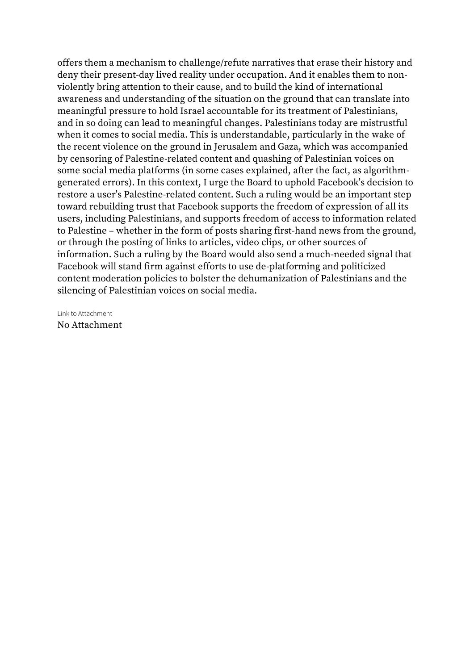offers them a mechanism to challenge/refute narratives that erase their history and deny their present-day lived reality under occupation. And it enables them to nonviolently bring attention to their cause, and to build the kind of international awareness and understanding of the situation on the ground that can translate into meaningful pressure to hold Israel accountable for its treatment of Palestinians, and in so doing can lead to meaningful changes. Palestinians today are mistrustful when it comes to social media. This is understandable, particularly in the wake of the recent violence on the ground in Jerusalem and Gaza, which was accompanied by censoring of Palestine-related content and quashing of Palestinian voices on some social media platforms (in some cases explained, after the fact, as algorithmgenerated errors). In this context, I urge the Board to uphold Facebook's decision to restore a user's Palestine-related content. Such a ruling would be an important step toward rebuilding trust that Facebook supports the freedom of expression of all its users, including Palestinians, and supports freedom of access to information related to Palestine – whether in the form of posts sharing first-hand news from the ground, or through the posting of links to articles, video clips, or other sources of information. Such a ruling by the Board would also send a much-needed signal that Facebook will stand firm against efforts to use de-platforming and politicized content moderation policies to bolster the dehumanization of Palestinians and the silencing of Palestinian voices on social media.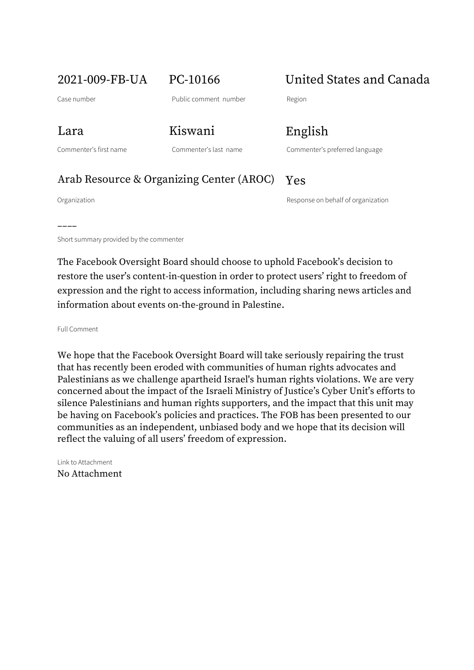2021-009-FB-UA PC-10166 United States and Canada

Case number **Case number** Public comment number Region

Lara Kiswani English

Commenter's first name Commenter's last name Commenter's preferred language

### Arab Resource & Organizing Center (AROC) Yes

––––

Organization Response on behalf of organization

Short summary provided by the commenter

The Facebook Oversight Board should choose to uphold Facebook's decision to restore the user's content-in-question in order to protect users' right to freedom of expression and the right to access information, including sharing news articles and information about events on-the-ground in Palestine.

Full Comment

We hope that the Facebook Oversight Board will take seriously repairing the trust that has recently been eroded with communities of human rights advocates and Palestinians as we challenge apartheid Israel's human rights violations. We are very concerned about the impact of the Israeli Ministry of Justice's Cyber Unit's efforts to silence Palestinians and human rights supporters, and the impact that this unit may be having on Facebook's policies and practices. The FOB has been presented to our communities as an independent, unbiased body and we hope that its decision will reflect the valuing of all users' freedom of expression.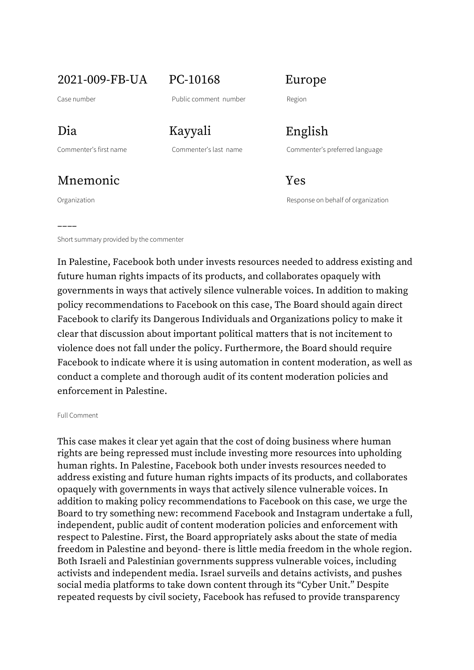2021-009-FB-UA PC-10168 Europe

Case number **Case number** Public comment number Region

## Mnemonic **Yes**

––––

Dia Kayyali English

Commenter's first name Commenter's last name Commenter's preferred language

Organization Response on behalf of organization

Short summary provided by the commenter

In Palestine, Facebook both under invests resources needed to address existing and future human rights impacts of its products, and collaborates opaquely with governments in ways that actively silence vulnerable voices. In addition to making policy recommendations to Facebook on this case, The Board should again direct Facebook to clarify its Dangerous Individuals and Organizations policy to make it clear that discussion about important political matters that is not incitement to violence does not fall under the policy. Furthermore, the Board should require Facebook to indicate where it is using automation in content moderation, as well as conduct a complete and thorough audit of its content moderation policies and enforcement in Palestine.

### Full Comment

This case makes it clear yet again that the cost of doing business where human rights are being repressed must include investing more resources into upholding human rights. In Palestine, Facebook both under invests resources needed to address existing and future human rights impacts of its products, and collaborates opaquely with governments in ways that actively silence vulnerable voices. In addition to making policy recommendations to Facebook on this case, we urge the Board to try something new: recommend Facebook and Instagram undertake a full, independent, public audit of content moderation policies and enforcement with respect to Palestine. First, the Board appropriately asks about the state of media freedom in Palestine and beyond- there is little media freedom in the whole region. Both Israeli and Palestinian governments suppress vulnerable voices, including activists and independent media. Israel surveils and detains activists, and pushes social media platforms to take down content through its "Cyber Unit." Despite repeated requests by civil society, Facebook has refused to provide transparency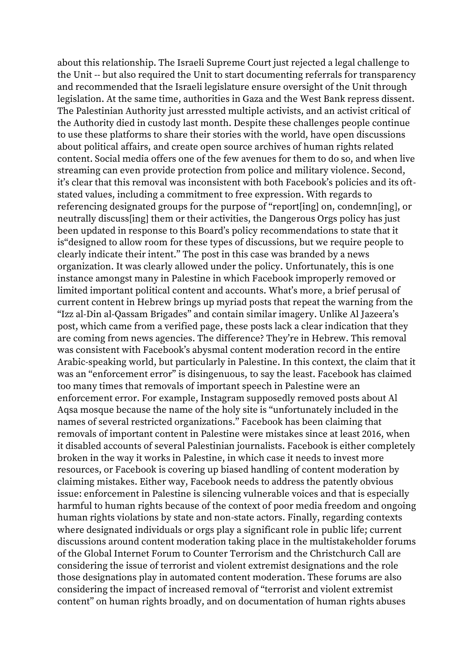about this relationship. The Israeli Supreme Court just rejected a legal challenge to the Unit -- but also required the Unit to start documenting referrals for transparency and recommended that the Israeli legislature ensure oversight of the Unit through legislation. At the same time, authorities in Gaza and the West Bank repress dissent. The Palestinian Authority just arressted multiple activists, and an activist critical of the Authority died in custody last month. Despite these challenges people continue to use these platforms to share their stories with the world, have open discussions about political affairs, and create open source archives of human rights related content. Social media offers one of the few avenues for them to do so, and when live streaming can even provide protection from police and military violence. Second, it's clear that this removal was inconsistent with both Facebook's policies and its oftstated values, including a commitment to free expression. With regards to referencing designated groups for the purpose of "report[ing] on, condemn[ing], or neutrally discuss[ing] them or their activities, the Dangerous Orgs policy has just been updated in response to this Board's policy recommendations to state that it is"designed to allow room for these types of discussions, but we require people to clearly indicate their intent." The post in this case was branded by a news organization. It was clearly allowed under the policy. Unfortunately, this is one instance amongst many in Palestine in which Facebook improperly removed or limited important political content and accounts. What's more, a brief perusal of current content in Hebrew brings up myriad posts that repeat the warning from the "Izz al-Din al-Qassam Brigades" and contain similar imagery. Unlike Al Jazeera's post, which came from a verified page, these posts lack a clear indication that they are coming from news agencies. The difference? They're in Hebrew. This removal was consistent with Facebook's abysmal content moderation record in the entire Arabic-speaking world, but particularly in Palestine. In this context, the claim that it was an "enforcement error" is disingenuous, to say the least. Facebook has claimed too many times that removals of important speech in Palestine were an enforcement error. For example, Instagram supposedly removed posts about Al Aqsa mosque because the name of the holy site is "unfortunately included in the names of several restricted organizations." Facebook has been claiming that removals of important content in Palestine were mistakes since at least 2016, when it disabled accounts of several Palestinian journalists. Facebook is either completely broken in the way it works in Palestine, in which case it needs to invest more resources, or Facebook is covering up biased handling of content moderation by claiming mistakes. Either way, Facebook needs to address the patently obvious issue: enforcement in Palestine is silencing vulnerable voices and that is especially harmful to human rights because of the context of poor media freedom and ongoing human rights violations by state and non-state actors. Finally, regarding contexts where designated individuals or orgs play a significant role in public life; current discussions around content moderation taking place in the multistakeholder forums of the Global Internet Forum to Counter Terrorism and the Christchurch Call are considering the issue of terrorist and violent extremist designations and the role those designations play in automated content moderation. These forums are also considering the impact of increased removal of "terrorist and violent extremist content" on human rights broadly, and on documentation of human rights abuses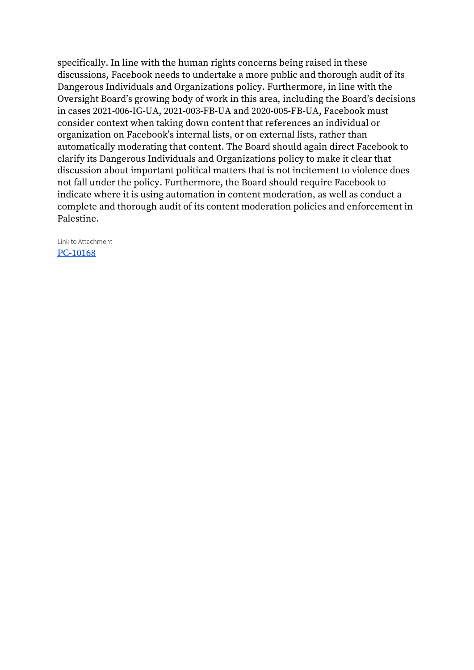specifically. In line with the human rights concerns being raised in these discussions, Facebook needs to undertake a more public and thorough audit of its Dangerous Individuals and Organizations policy. Furthermore, in line with the Oversight Board's growing body of work in this area, including the Board's decisions in cases 2021-006-IG-UA, 2021-003-FB-UA and 2020-005-FB-UA, Facebook must consider context when taking down content that references an individual or organization on Facebook's internal lists, or on external lists, rather than automatically moderating that content. The Board should again direct Facebook to clarify its Dangerous Individuals and Organizations policy to make it clear that discussion about important political matters that is not incitement to violence does not fall under the policy. Furthermore, the Board should require Facebook to indicate where it is using automation in content moderation, as well as conduct a complete and thorough audit of its content moderation policies and enforcement in Palestine.

Link to Attachment [PC-10168](https://osbcontent.s3.eu-west-1.amazonaws.com/PC-10168.pdf)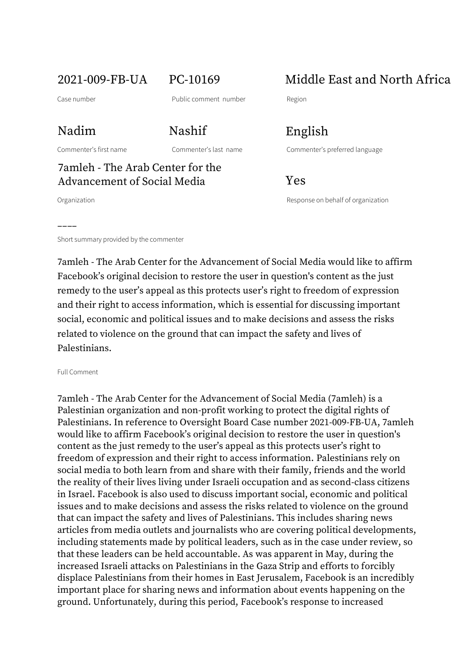Nadim Nashif English

## 7amleh - The Arab Center for the Advancement of Social Media 7 Pes

––––

2021-009-FB-UA PC-10169 Middle East and North Africa

Commenter's first name Commenter's last name Commenter's preferred language

Organization Response on behalf of organization

Short summary provided by the commenter

7amleh - The Arab Center for the Advancement of Social Media would like to affirm Facebook's original decision to restore the user in question's content as the just remedy to the user's appeal as this protects user's right to freedom of expression and their right to access information, which is essential for discussing important social, economic and political issues and to make decisions and assess the risks related to violence on the ground that can impact the safety and lives of Palestinians.

Full Comment

7amleh - The Arab Center for the Advancement of Social Media (7amleh) is a Palestinian organization and non-profit working to protect the digital rights of Palestinians. In reference to Oversight Board Case number 2021-009-FB-UA, 7amleh would like to affirm Facebook's original decision to restore the user in question's content as the just remedy to the user's appeal as this protects user's right to freedom of expression and their right to access information. Palestinians rely on social media to both learn from and share with their family, friends and the world the reality of their lives living under Israeli occupation and as second-class citizens in Israel. Facebook is also used to discuss important social, economic and political issues and to make decisions and assess the risks related to violence on the ground that can impact the safety and lives of Palestinians. This includes sharing news articles from media outlets and journalists who are covering political developments, including statements made by political leaders, such as in the case under review, so that these leaders can be held accountable. As was apparent in May, during the increased Israeli attacks on Palestinians in the Gaza Strip and efforts to forcibly displace Palestinians from their homes in East Jerusalem, Facebook is an incredibly important place for sharing news and information about events happening on the ground. Unfortunately, during this period, Facebook's response to increased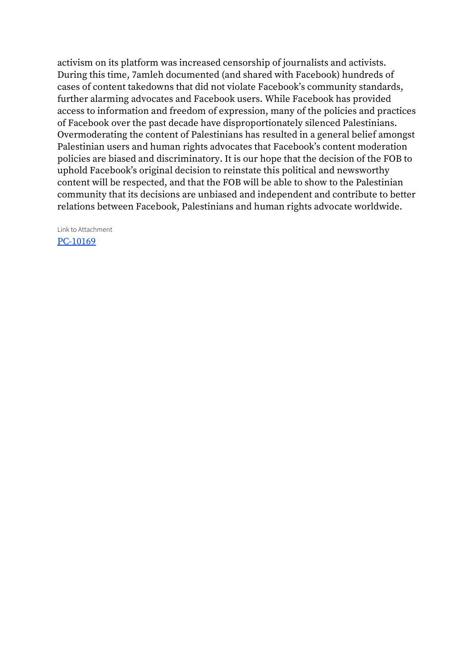activism on its platform was increased censorship of journalists and activists. During this time, 7amleh documented (and shared with Facebook) hundreds of cases of content takedowns that did not violate Facebook's community standards, further alarming advocates and Facebook users. While Facebook has provided access to information and freedom of expression, many of the policies and practices of Facebook over the past decade have disproportionately silenced Palestinians. Overmoderating the content of Palestinians has resulted in a general belief amongst Palestinian users and human rights advocates that Facebook's content moderation policies are biased and discriminatory. It is our hope that the decision of the FOB to uphold Facebook's original decision to reinstate this political and newsworthy content will be respected, and that the FOB will be able to show to the Palestinian community that its decisions are unbiased and independent and contribute to better relations between Facebook, Palestinians and human rights advocate worldwide.

Link to Attachment [PC-10169](https://osbcontent.s3.eu-west-1.amazonaws.com/PC-10169.pdf)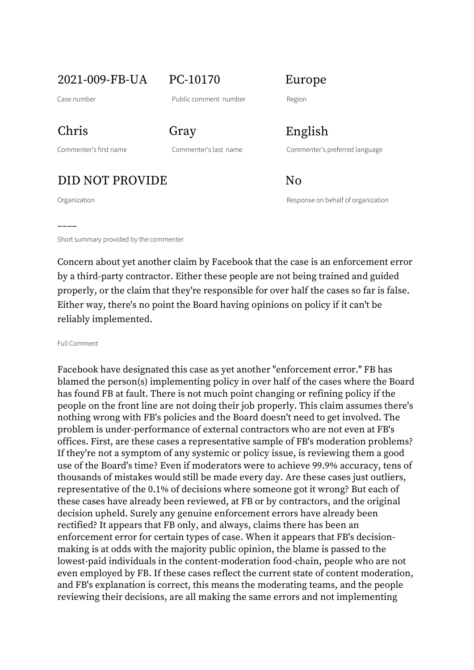2021-009-FB-UA PC-10170 Europe

Case number **Case number** Public comment number Region

Chris Gray English

DID NOT PROVIDE No

––––

Commenter's first name Commenter's last name Commenter's preferred language

Organization Response on behalf of organization

Short summary provided by the commenter

Concern about yet another claim by Facebook that the case is an enforcement error by a third-party contractor. Either these people are not being trained and guided properly, or the claim that they're responsible for over half the cases so far is false. Either way, there's no point the Board having opinions on policy if it can't be reliably implemented.

Full Comment

Facebook have designated this case as yet another "enforcement error." FB has blamed the person(s) implementing policy in over half of the cases where the Board has found FB at fault. There is not much point changing or refining policy if the people on the front line are not doing their job properly. This claim assumes there's nothing wrong with FB's policies and the Board doesn't need to get involved. The problem is under-performance of external contractors who are not even at FB's offices. First, are these cases a representative sample of FB's moderation problems? If they're not a symptom of any systemic or policy issue, is reviewing them a good use of the Board's time? Even if moderators were to achieve 99.9% accuracy, tens of thousands of mistakes would still be made every day. Are these cases just outliers, representative of the 0.1% of decisions where someone got it wrong? But each of these cases have already been reviewed, at FB or by contractors, and the original decision upheld. Surely any genuine enforcement errors have already been rectified? It appears that FB only, and always, claims there has been an enforcement error for certain types of case. When it appears that FB's decisionmaking is at odds with the majority public opinion, the blame is passed to the lowest-paid individuals in the content-moderation food-chain, people who are not even employed by FB. If these cases reflect the current state of content moderation, and FB's explanation is correct, this means the moderating teams, and the people reviewing their decisions, are all making the same errors and not implementing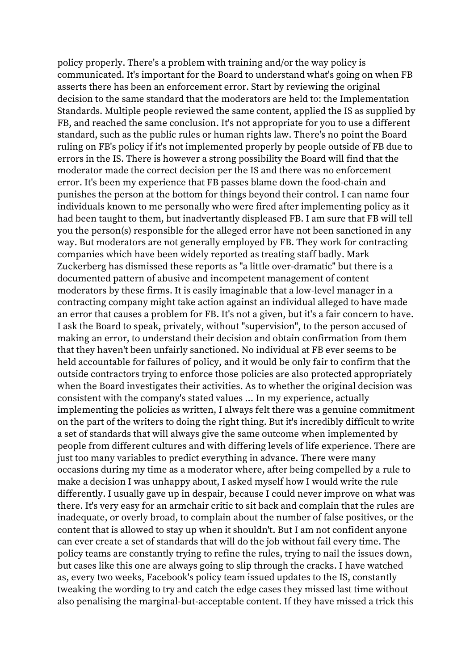policy properly. There's a problem with training and/or the way policy is communicated. It's important for the Board to understand what's going on when FB asserts there has been an enforcement error. Start by reviewing the original decision to the same standard that the moderators are held to: the Implementation Standards. Multiple people reviewed the same content, applied the IS as supplied by FB, and reached the same conclusion. It's not appropriate for you to use a different standard, such as the public rules or human rights law. There's no point the Board ruling on FB's policy if it's not implemented properly by people outside of FB due to errors in the IS. There is however a strong possibility the Board will find that the moderator made the correct decision per the IS and there was no enforcement error. It's been my experience that FB passes blame down the food-chain and punishes the person at the bottom for things beyond their control. I can name four individuals known to me personally who were fired after implementing policy as it had been taught to them, but inadvertantly displeased FB. I am sure that FB will tell you the person(s) responsible for the alleged error have not been sanctioned in any way. But moderators are not generally employed by FB. They work for contracting companies which have been widely reported as treating staff badly. Mark Zuckerberg has dismissed these reports as "a little over-dramatic" but there is a documented pattern of abusive and incompetent management of content moderators by these firms. It is easily imaginable that a low-level manager in a contracting company might take action against an individual alleged to have made an error that causes a problem for FB. It's not a given, but it's a fair concern to have. I ask the Board to speak, privately, without "supervision", to the person accused of making an error, to understand their decision and obtain confirmation from them that they haven't been unfairly sanctioned. No individual at FB ever seems to be held accountable for failures of policy, and it would be only fair to confirm that the outside contractors trying to enforce those policies are also protected appropriately when the Board investigates their activities. As to whether the original decision was consistent with the company's stated values ... In my experience, actually implementing the policies as written, I always felt there was a genuine commitment on the part of the writers to doing the right thing. But it's incredibly difficult to write a set of standards that will always give the same outcome when implemented by people from different cultures and with differing levels of life experience. There are just too many variables to predict everything in advance. There were many occasions during my time as a moderator where, after being compelled by a rule to make a decision I was unhappy about, I asked myself how I would write the rule differently. I usually gave up in despair, because I could never improve on what was there. It's very easy for an armchair critic to sit back and complain that the rules are inadequate, or overly broad, to complain about the number of false positives, or the content that is allowed to stay up when it shouldn't. But I am not confident anyone can ever create a set of standards that will do the job without fail every time. The policy teams are constantly trying to refine the rules, trying to nail the issues down, but cases like this one are always going to slip through the cracks. I have watched as, every two weeks, Facebook's policy team issued updates to the IS, constantly tweaking the wording to try and catch the edge cases they missed last time without also penalising the marginal-but-acceptable content. If they have missed a trick this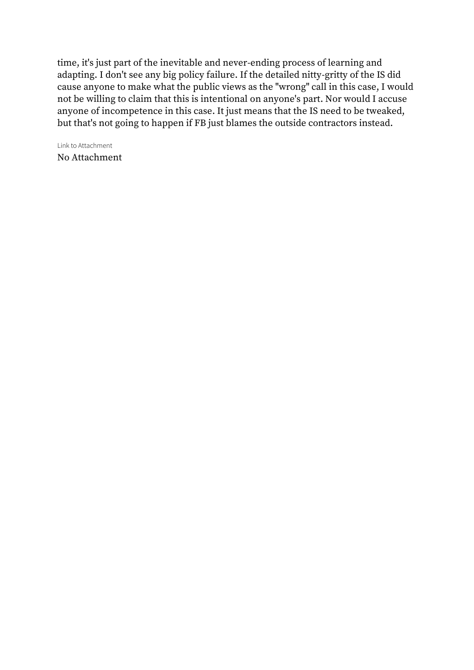time, it's just part of the inevitable and never-ending process of learning and adapting. I don't see any big policy failure. If the detailed nitty-gritty of the IS did cause anyone to make what the public views as the "wrong" call in this case, I would not be willing to claim that this is intentional on anyone's part. Nor would I accuse anyone of incompetence in this case. It just means that the IS need to be tweaked, but that's not going to happen if FB just blames the outside contractors instead.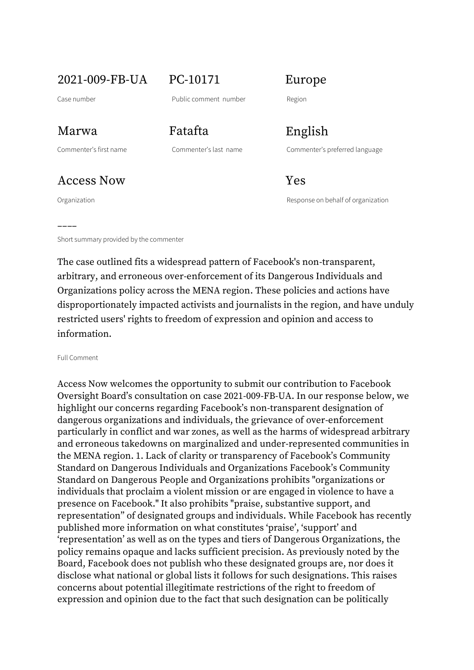2021-009-FB-UA PC-10171 Europe

Case number **Case number** Public comment number Region

Access Now Yes

––––

Marwa Fatafta English

Commenter's first name Commenter's last name Commenter's preferred language

Organization Response on behalf of organization

Short summary provided by the commenter

The case outlined fits a widespread pattern of Facebook's non-transparent, arbitrary, and erroneous over-enforcement of its Dangerous Individuals and Organizations policy across the MENA region. These policies and actions have disproportionately impacted activists and journalists in the region, and have unduly restricted users' rights to freedom of expression and opinion and access to information.

Full Comment

Access Now welcomes the opportunity to submit our contribution to Facebook Oversight Board's consultation on case 2021-009-FB-UA. In our response below, we highlight our concerns regarding Facebook's non-transparent designation of dangerous organizations and individuals, the grievance of over-enforcement particularly in conflict and war zones, as well as the harms of widespread arbitrary and erroneous takedowns on marginalized and under-represented communities in the MENA region. 1. Lack of clarity or transparency of Facebook's Community Standard on Dangerous Individuals and Organizations Facebook's Community Standard on Dangerous People and Organizations prohibits "organizations or individuals that proclaim a violent mission or are engaged in violence to have a presence on Facebook." It also prohibits "praise, substantive support, and representation" of designated groups and individuals. While Facebook has recently published more information on what constitutes 'praise', 'support' and 'representation' as well as on the types and tiers of Dangerous Organizations, the policy remains opaque and lacks sufficient precision. As previously noted by the Board, Facebook does not publish who these designated groups are, nor does it disclose what national or global lists it follows for such designations. This raises concerns about potential illegitimate restrictions of the right to freedom of expression and opinion due to the fact that such designation can be politically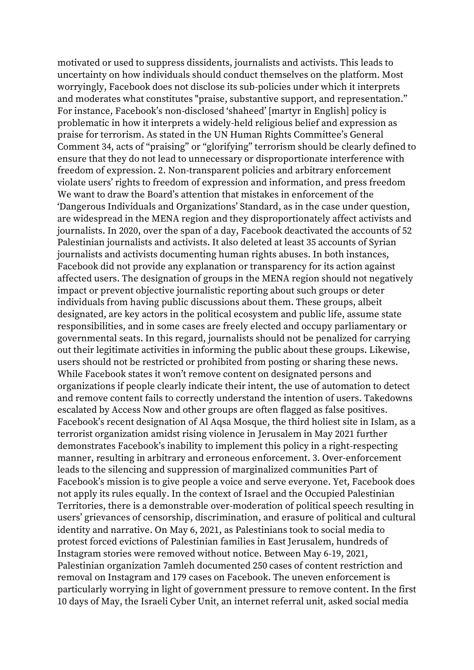motivated or used to suppress dissidents, journalists and activists. This leads to uncertainty on how individuals should conduct themselves on the platform. Most worryingly, Facebook does not disclose its sub-policies under which it interprets and moderates what constitutes "praise, substantive support, and representation." For instance, Facebook's non-disclosed 'shaheed' [martyr in English] policy is problematic in how it interprets a widely-held religious belief and expression as praise for terrorism. As stated in the UN Human Rights Committee's General Comment 34, acts of "praising" or "glorifying" terrorism should be clearly defined to ensure that they do not lead to unnecessary or disproportionate interference with freedom of expression. 2. Non-transparent policies and arbitrary enforcement violate users' rights to freedom of expression and information, and press freedom We want to draw the Board's attention that mistakes in enforcement of the 'Dangerous Individuals and Organizations' Standard, as in the case under question, are widespread in the MENA region and they disproportionately affect activists and journalists. In 2020, over the span of a day, Facebook deactivated the accounts of 52 Palestinian journalists and activists. It also deleted at least 35 accounts of Syrian journalists and activists documenting human rights abuses. In both instances, Facebook did not provide any explanation or transparency for its action against affected users. The designation of groups in the MENA region should not negatively impact or prevent objective journalistic reporting about such groups or deter individuals from having public discussions about them. These groups, albeit designated, are key actors in the political ecosystem and public life, assume state responsibilities, and in some cases are freely elected and occupy parliamentary or governmental seats. In this regard, journalists should not be penalized for carrying out their legitimate activities in informing the public about these groups. Likewise, users should not be restricted or prohibited from posting or sharing these news. While Facebook states it won't remove content on designated persons and organizations if people clearly indicate their intent, the use of automation to detect and remove content fails to correctly understand the intention of users. Takedowns escalated by Access Now and other groups are often flagged as false positives. Facebook's recent designation of Al Aqsa Mosque, the third holiest site in Islam, as a terrorist organization amidst rising violence in Jerusalem in May 2021 further demonstrates Facebook's inability to implement this policy in a right-respecting manner, resulting in arbitrary and erroneous enforcement. 3. Over-enforcement leads to the silencing and suppression of marginalized communities Part of Facebook's mission is to give people a voice and serve everyone. Yet, Facebook does not apply its rules equally. In the context of Israel and the Occupied Palestinian Territories, there is a demonstrable over-moderation of political speech resulting in users' grievances of censorship, discrimination, and erasure of political and cultural identity and narrative. On May 6, 2021, as Palestinians took to social media to protest forced evictions of Palestinian families in East Jerusalem, hundreds of Instagram stories were removed without notice. Between May 6-19, 2021, Palestinian organization 7amleh documented 250 cases of content restriction and removal on Instagram and 179 cases on Facebook. The uneven enforcement is particularly worrying in light of government pressure to remove content. In the first 10 days of May, the Israeli Cyber Unit, an internet referral unit, asked social media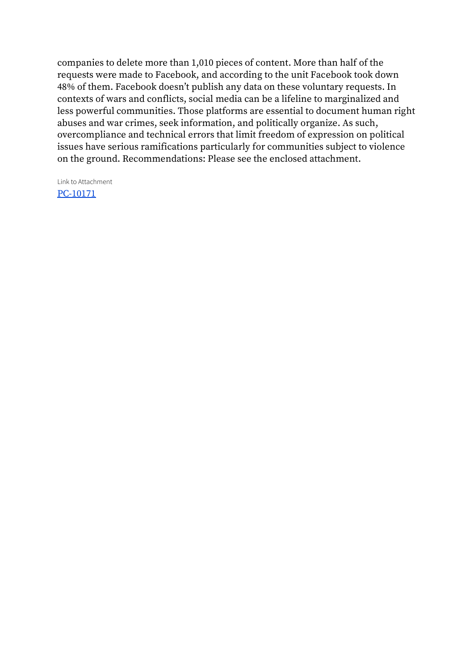companies to delete more than 1,010 pieces of content. More than half of the requests were made to Facebook, and according to the unit Facebook took down 48% of them. Facebook doesn't publish any data on these voluntary requests. In contexts of wars and conflicts, social media can be a lifeline to marginalized and less powerful communities. Those platforms are essential to document human right abuses and war crimes, seek information, and politically organize. As such, overcompliance and technical errors that limit freedom of expression on political issues have serious ramifications particularly for communities subject to violence on the ground. Recommendations: Please see the enclosed attachment.

Link to Attachment [PC-10171](https://osbcontent.s3.eu-west-1.amazonaws.com/PC-10171.pdf)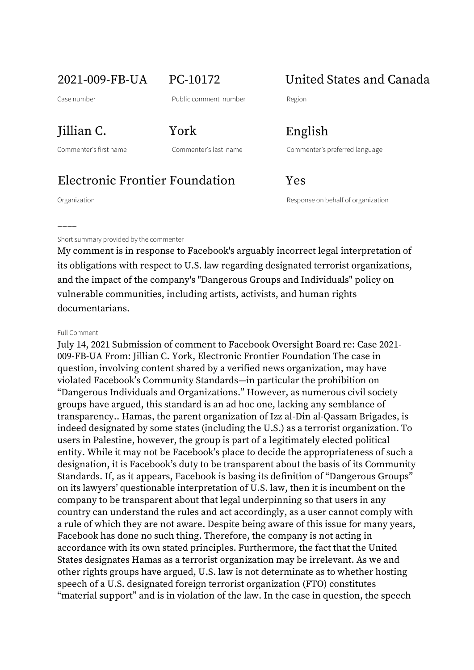2021-009-FB-UA PC-10172 United States and Canada

Case number **Case number** Public comment number Region

Jillian C. York English

Commenter's first name Commenter's last name Commenter's preferred language

## Electronic Frontier Foundation Yes

––––

Organization Response on behalf of organization

Short summary provided by the commenter

My comment is in response to Facebook's arguably incorrect legal interpretation of its obligations with respect to U.S. law regarding designated terrorist organizations, and the impact of the company's "Dangerous Groups and Individuals" policy on vulnerable communities, including artists, activists, and human rights documentarians.

### Full Comment

July 14, 2021 Submission of comment to Facebook Oversight Board re: Case 2021- 009-FB-UA From: Jillian C. York, Electronic Frontier Foundation The case in question, involving content shared by a verified news organization, may have violated Facebook's Community Standards—in particular the prohibition on "Dangerous Individuals and Organizations." However, as numerous civil society groups have argued, this standard is an ad hoc one, lacking any semblance of transparency.. Hamas, the parent organization of Izz al-Din al-Qassam Brigades, is indeed designated by some states (including the U.S.) as a terrorist organization. To users in Palestine, however, the group is part of a legitimately elected political entity. While it may not be Facebook's place to decide the appropriateness of such a designation, it is Facebook's duty to be transparent about the basis of its Community Standards. If, as it appears, Facebook is basing its definition of "Dangerous Groups" on its lawyers' questionable interpretation of U.S. law, then it is incumbent on the company to be transparent about that legal underpinning so that users in any country can understand the rules and act accordingly, as a user cannot comply with a rule of which they are not aware. Despite being aware of this issue for many years, Facebook has done no such thing. Therefore, the company is not acting in accordance with its own stated principles. Furthermore, the fact that the United States designates Hamas as a terrorist organization may be irrelevant. As we and other rights groups have argued, U.S. law is not determinate as to whether hosting speech of a U.S. designated foreign terrorist organization (FTO) constitutes "material support" and is in violation of the law. In the case in question, the speech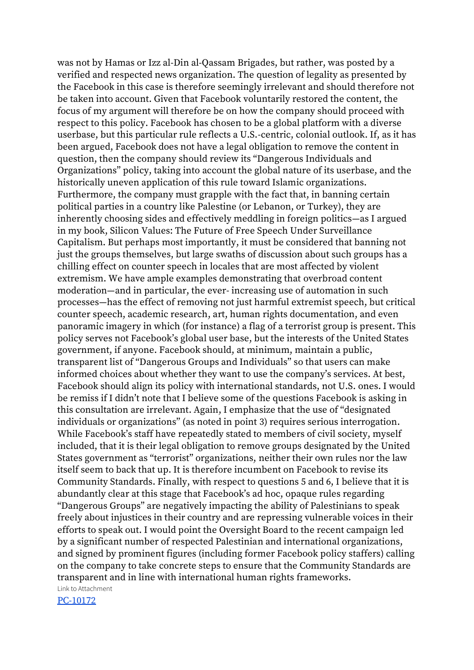was not by Hamas or Izz al-Din al-Qassam Brigades, but rather, was posted by a verified and respected news organization. The question of legality as presented by the Facebook in this case is therefore seemingly irrelevant and should therefore not be taken into account. Given that Facebook voluntarily restored the content, the focus of my argument will therefore be on how the company should proceed with respect to this policy. Facebook has chosen to be a global platform with a diverse userbase, but this particular rule reflects a U.S.-centric, colonial outlook. If, as it has been argued, Facebook does not have a legal obligation to remove the content in question, then the company should review its "Dangerous Individuals and Organizations" policy, taking into account the global nature of its userbase, and the historically uneven application of this rule toward Islamic organizations. Furthermore, the company must grapple with the fact that, in banning certain political parties in a country like Palestine (or Lebanon, or Turkey), they are inherently choosing sides and effectively meddling in foreign politics—as I argued in my book, Silicon Values: The Future of Free Speech Under Surveillance Capitalism. But perhaps most importantly, it must be considered that banning not just the groups themselves, but large swaths of discussion about such groups has a chilling effect on counter speech in locales that are most affected by violent extremism. We have ample examples demonstrating that overbroad content moderation—and in particular, the ever- increasing use of automation in such processes—has the effect of removing not just harmful extremist speech, but critical counter speech, academic research, art, human rights documentation, and even panoramic imagery in which (for instance) a flag of a terrorist group is present. This policy serves not Facebook's global user base, but the interests of the United States government, if anyone. Facebook should, at minimum, maintain a public, transparent list of "Dangerous Groups and Individuals" so that users can make informed choices about whether they want to use the company's services. At best, Facebook should align its policy with international standards, not U.S. ones. I would be remiss if I didn't note that I believe some of the questions Facebook is asking in this consultation are irrelevant. Again, I emphasize that the use of "designated individuals or organizations" (as noted in point 3) requires serious interrogation. While Facebook's staff have repeatedly stated to members of civil society, myself included, that it is their legal obligation to remove groups designated by the United States government as "terrorist" organizations, neither their own rules nor the law itself seem to back that up. It is therefore incumbent on Facebook to revise its Community Standards. Finally, with respect to questions 5 and 6, I believe that it is abundantly clear at this stage that Facebook's ad hoc, opaque rules regarding "Dangerous Groups" are negatively impacting the ability of Palestinians to speak freely about injustices in their country and are repressing vulnerable voices in their efforts to speak out. I would point the Oversight Board to the recent campaign led by a significant number of respected Palestinian and international organizations, and signed by prominent figures (including former Facebook policy staffers) calling on the company to take concrete steps to ensure that the Community Standards are transparent and in line with international human rights frameworks. Link to Attachment

[PC-10172](https://osbcontent.s3.eu-west-1.amazonaws.com/PC-10172.pdf)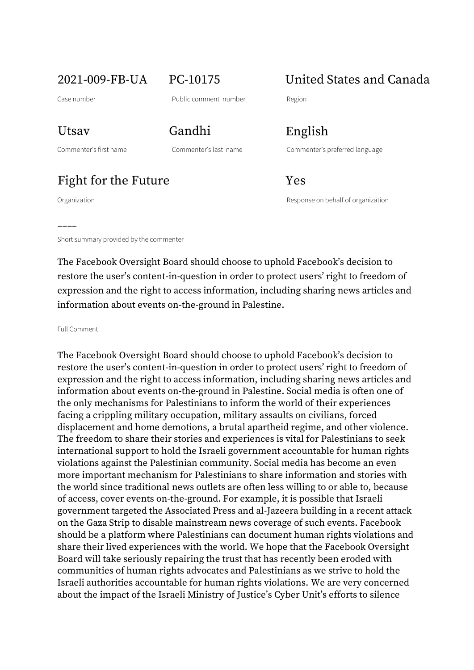2021-009-FB-UA PC-10175 United States and Canada

Utsav Gandhi English

––––

Commenter's first name Commenter's last name Commenter's preferred language

Fight for the Future Yes

Organization Response on behalf of organization

Short summary provided by the commenter

The Facebook Oversight Board should choose to uphold Facebook's decision to restore the user's content-in-question in order to protect users' right to freedom of expression and the right to access information, including sharing news articles and information about events on-the-ground in Palestine.

Full Comment

The Facebook Oversight Board should choose to uphold Facebook's decision to restore the user's content-in-question in order to protect users' right to freedom of expression and the right to access information, including sharing news articles and information about events on-the-ground in Palestine. Social media is often one of the only mechanisms for Palestinians to inform the world of their experiences facing a crippling military occupation, military assaults on civilians, forced displacement and home demotions, a brutal apartheid regime, and other violence. The freedom to share their stories and experiences is vital for Palestinians to seek international support to hold the Israeli government accountable for human rights violations against the Palestinian community. Social media has become an even more important mechanism for Palestinians to share information and stories with the world since traditional news outlets are often less willing to or able to, because of access, cover events on-the-ground. For example, it is possible that Israeli government targeted the Associated Press and al-Jazeera building in a recent attack on the Gaza Strip to disable mainstream news coverage of such events. Facebook should be a platform where Palestinians can document human rights violations and share their lived experiences with the world. We hope that the Facebook Oversight Board will take seriously repairing the trust that has recently been eroded with communities of human rights advocates and Palestinians as we strive to hold the Israeli authorities accountable for human rights violations. We are very concerned about the impact of the Israeli Ministry of Justice's Cyber Unit's efforts to silence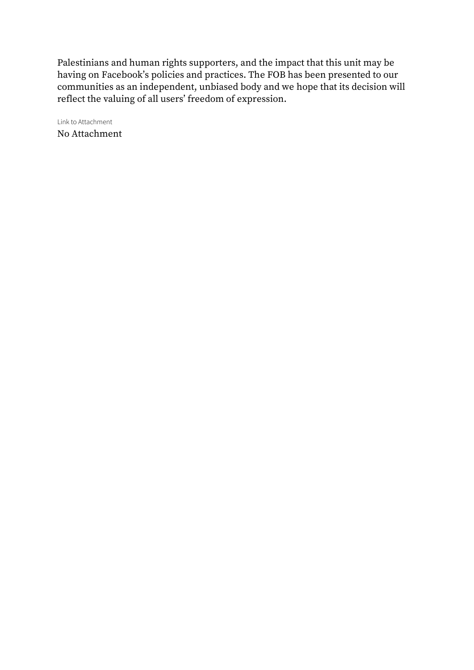Palestinians and human rights supporters, and the impact that this unit may be having on Facebook's policies and practices. The FOB has been presented to our communities as an independent, unbiased body and we hope that its decision will reflect the valuing of all users' freedom of expression.